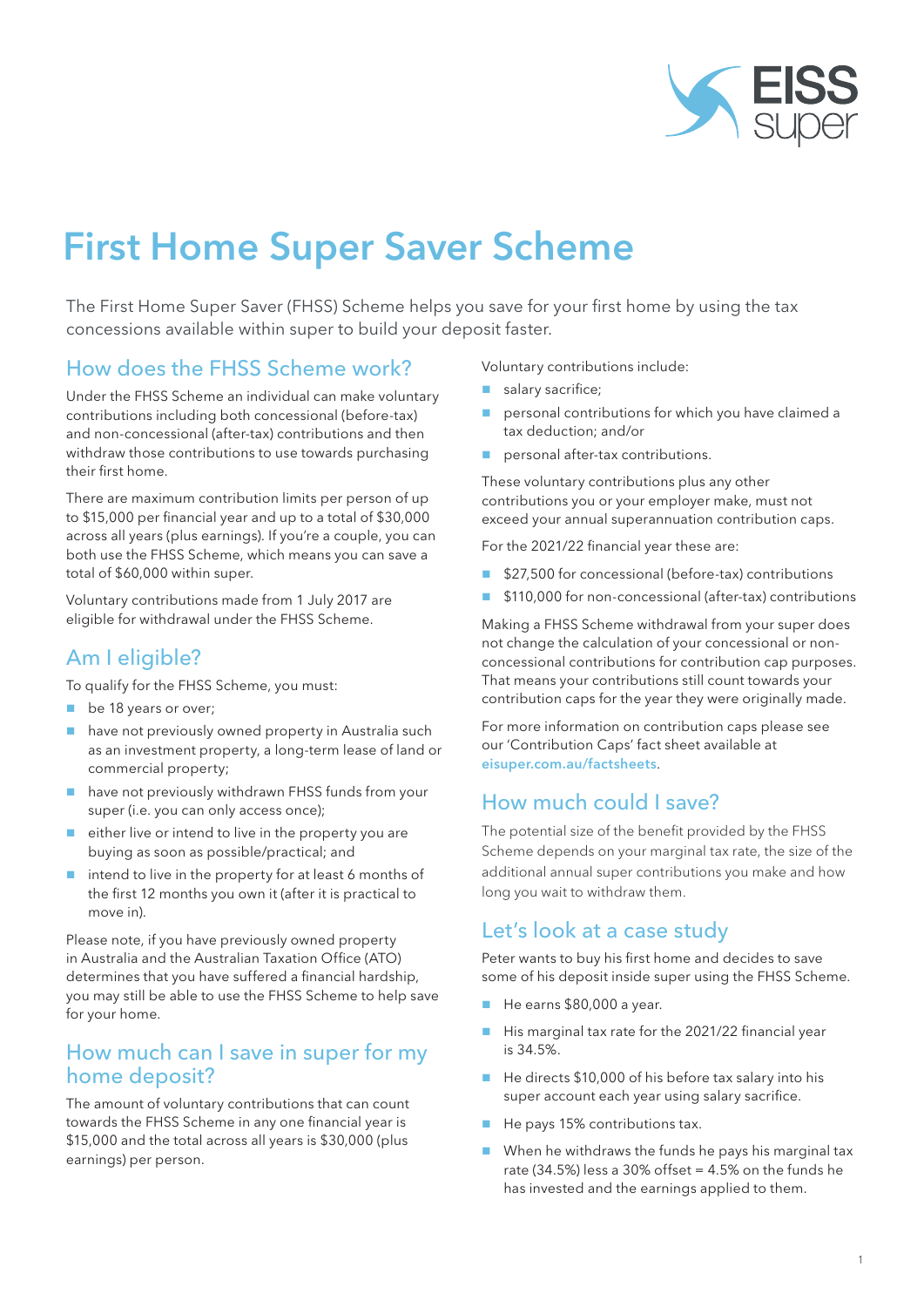

# First Home Super Saver Scheme

The First Home Super Saver (FHSS) Scheme helps you save for your first home by using the tax concessions available within super to build your deposit faster.

### How does the FHSS Scheme work?

Under the FHSS Scheme an individual can make voluntary contributions including both concessional (before-tax) and non-concessional (after-tax) contributions and then withdraw those contributions to use towards purchasing their first home.

There are maximum contribution limits per person of up to \$15,000 per financial year and up to a total of \$30,000 across all years (plus earnings). If you're a couple, you can both use the FHSS Scheme, which means you can save a total of \$60,000 within super.

Voluntary contributions made from 1 July 2017 are eligible for withdrawal under the FHSS Scheme.

## Am I eligible?

To qualify for the FHSS Scheme, you must:

- be 18 years or over;
- have not previously owned property in Australia such as an investment property, a long-term lease of land or commercial property;
- **have not previously withdrawn FHSS funds from your** super (i.e. you can only access once);
- either live or intend to live in the property you are buying as soon as possible/practical; and
- $\blacksquare$  intend to live in the property for at least 6 months of the first 12 months you own it (after it is practical to move in).

Please note, if you have previously owned property in Australia and the Australian Taxation Office (ATO) determines that you have suffered a financial hardship, you may still be able to use the FHSS Scheme to help save for your home.

#### How much can I save in super for my home deposit?

The amount of voluntary contributions that can count towards the FHSS Scheme in any one financial year is \$15,000 and the total across all years is \$30,000 (plus earnings) per person.

Voluntary contributions include:

- salary sacrifice;
- **P** personal contributions for which you have claimed a tax deduction; and/or
- personal after-tax contributions.

These voluntary contributions plus any other contributions you or your employer make, must not exceed your annual superannuation contribution caps.

For the 2021/22 financial year these are:

- \$27,500 for concessional (before-tax) contributions
- \$110,000 for non-concessional (after-tax) contributions

Making a FHSS Scheme withdrawal from your super does not change the calculation of your concessional or nonconcessional contributions for contribution cap purposes. That means your contributions still count towards your contribution caps for the year they were originally made.

For more information on contribution caps please see our 'Contribution Caps' fact sheet available at eisuper.com.au/factsheets.

## How much could I save?

The potential size of the benefit provided by the FHSS Scheme depends on your marginal tax rate, the size of the additional annual super contributions you make and how long you wait to withdraw them.

#### Let's look at a case study

Peter wants to buy his first home and decides to save some of his deposit inside super using the FHSS Scheme.

- $\blacksquare$  He earns \$80,000 a year.
- His marginal tax rate for the 2021/22 financial year is 34.5%.
- He directs \$10,000 of his before tax salary into his super account each year using salary sacrifice.
- He pays 15% contributions tax.
- When he withdraws the funds he pays his marginal tax rate  $(34.5\%)$  less a  $30\%$  offset =  $4.5\%$  on the funds he has invested and the earnings applied to them.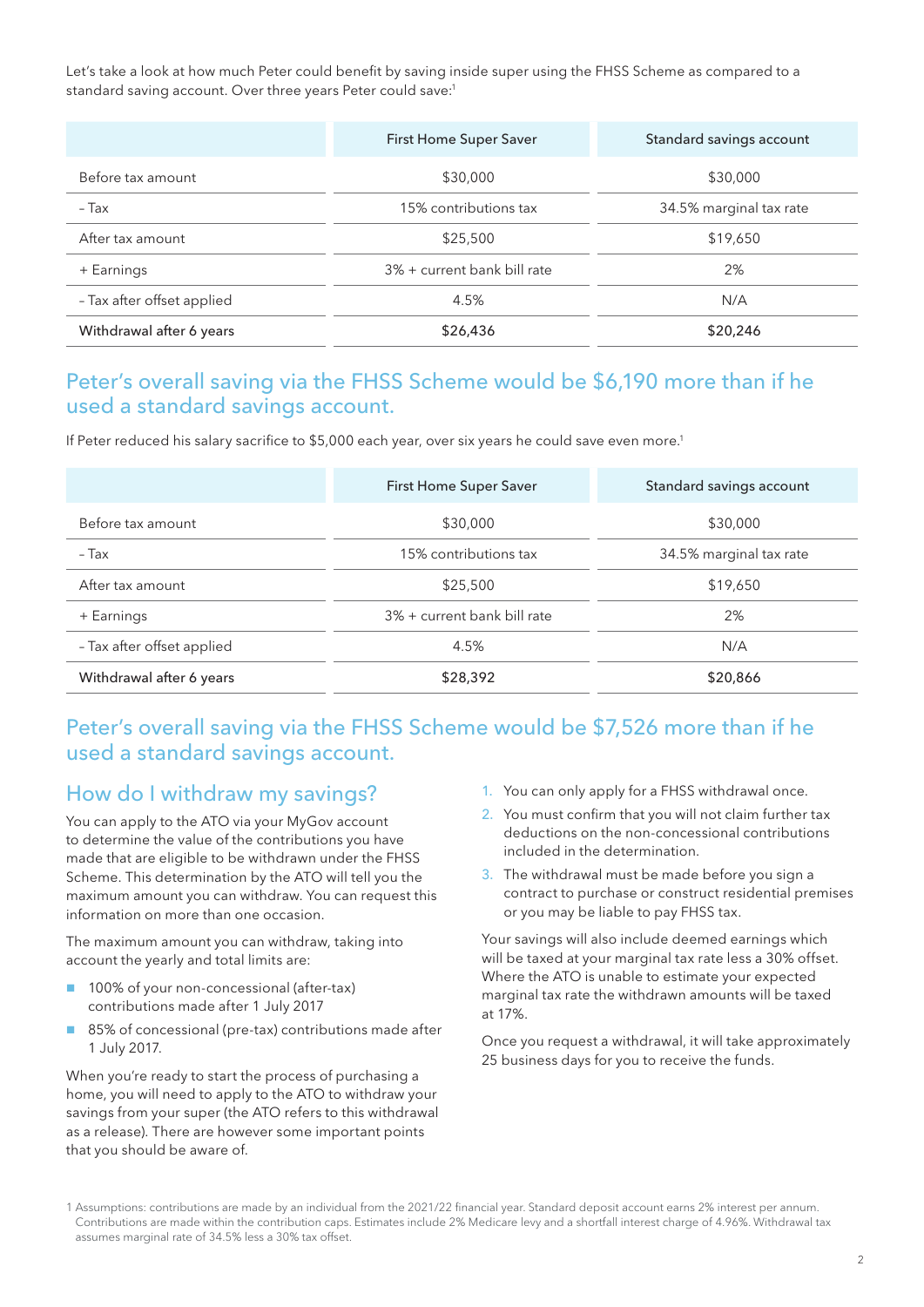Let's take a look at how much Peter could benefit by saving inside super using the FHSS Scheme as compared to a standard saving account. Over three years Peter could save:<sup>1</sup>

|                            | First Home Super Saver      | Standard savings account |
|----------------------------|-----------------------------|--------------------------|
| Before tax amount          | \$30,000                    | \$30,000                 |
| - Tax                      | 15% contributions tax       | 34.5% marginal tax rate  |
| After tax amount           | \$25,500                    | \$19,650                 |
| + Earnings                 | 3% + current bank bill rate | 2%                       |
| - Tax after offset applied | 4.5%                        | N/A                      |
| Withdrawal after 6 years   | \$26,436                    | \$20,246                 |

## Peter's overall saving via the FHSS Scheme would be \$6,190 more than if he used a standard savings account.

If Peter reduced his salary sacrifice to \$5,000 each year, over six years he could save even more.<sup>1</sup>

|                            | First Home Super Saver      | Standard savings account |
|----------------------------|-----------------------------|--------------------------|
| Before tax amount          | \$30,000                    | \$30,000                 |
| - Tax                      | 15% contributions tax       | 34.5% marginal tax rate  |
| After tax amount           | \$25,500                    | \$19,650                 |
| + Earnings                 | 3% + current bank bill rate | 2%                       |
| - Tax after offset applied | 4.5%                        | N/A                      |
| Withdrawal after 6 years   | \$28,392                    | \$20,866                 |

#### Peter's overall saving via the FHSS Scheme would be \$7,526 more than if he used a standard savings account.

#### How do I withdraw my savings?

You can apply to the ATO via your MyGov account to determine the value of the contributions you have made that are eligible to be withdrawn under the FHSS Scheme. This determination by the ATO will tell you the maximum amount you can withdraw. You can request this information on more than one occasion.

The maximum amount you can withdraw, taking into account the yearly and total limits are:

- 100% of your non-concessional (after-tax) contributions made after 1 July 2017
- 85% of concessional (pre-tax) contributions made after 1 July 2017.

When you're ready to start the process of purchasing a home, you will need to apply to the ATO to withdraw your savings from your super (the ATO refers to this withdrawal as a release). There are however some important points that you should be aware of.

- 1. You can only apply for a FHSS withdrawal once.
- 2. You must confirm that you will not claim further tax deductions on the non-concessional contributions included in the determination.
- 3. The withdrawal must be made before you sign a contract to purchase or construct residential premises or you may be liable to pay FHSS tax.

Your savings will also include deemed earnings which will be taxed at your marginal tax rate less a 30% offset. Where the ATO is unable to estimate your expected marginal tax rate the withdrawn amounts will be taxed at 17%.

Once you request a withdrawal, it will take approximately 25 business days for you to receive the funds.

<sup>1</sup> Assumptions: contributions are made by an individual from the 2021/22 financial year. Standard deposit account earns 2% interest per annum. Contributions are made within the contribution caps. Estimates include 2% Medicare levy and a shortfall interest charge of 4.96%. Withdrawal tax assumes marginal rate of 34.5% less a 30% tax offset.